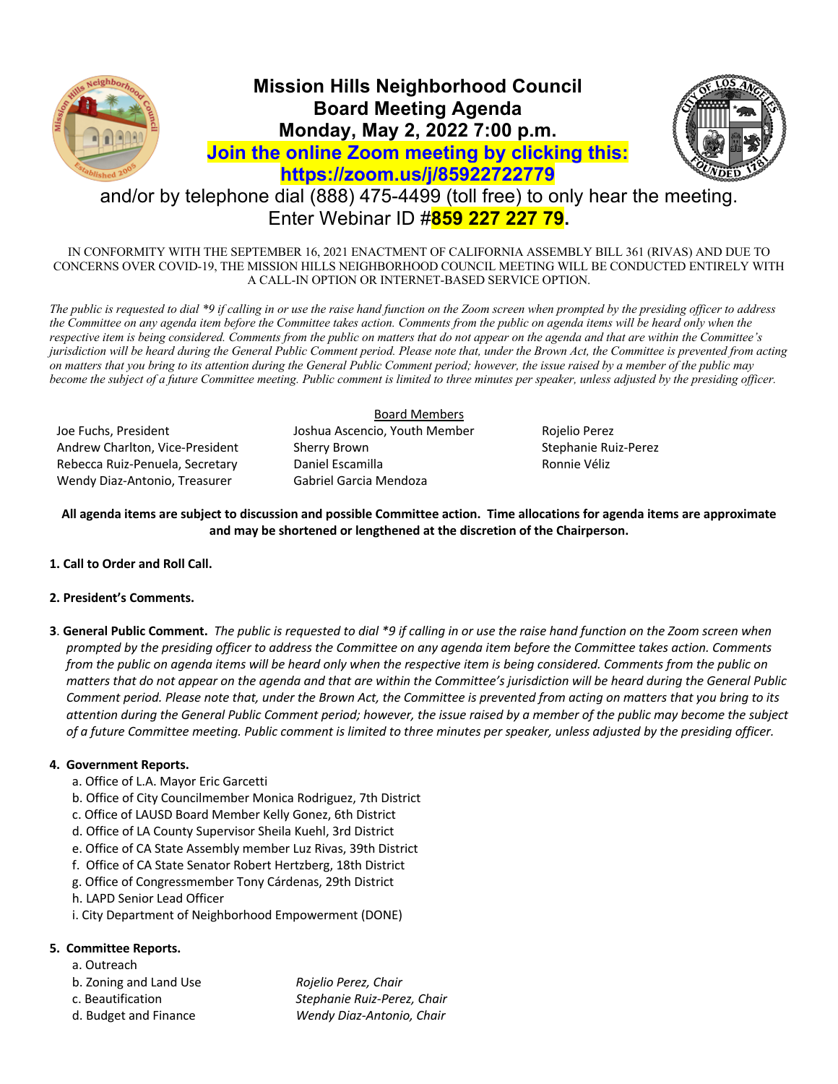

# **Mission Hills Neighborhood Council Board Meeting Agenda Monday, May 2, 2022 7:00 p.m. Join the online Zoom meeting by clicking this: https://zoom.us/j/85922722779**



# and/or by telephone dial (888) 475-4499 (toll free) to only hear the meeting. Enter Webinar ID #**859 227 227 79.**

IN CONFORMITY WITH THE SEPTEMBER 16, 2021 ENACTMENT OF CALIFORNIA ASSEMBLY BILL 361 (RIVAS) AND DUE TO CONCERNS OVER COVID-19, THE MISSION HILLS NEIGHBORHOOD COUNCIL MEETING WILL BE CONDUCTED ENTIRELY WITH A CALL-IN OPTION OR INTERNET-BASED SERVICE OPTION.

*The public is requested to dial \*9 if calling in or use the raise hand function on the Zoom screen when prompted by the presiding officer to address the Committee on any agenda item before the Committee takes action. Comments from the public on agenda items will be heard only when the respective item is being considered. Comments from the public on matters that do not appear on the agenda and that are within the Committee's jurisdiction will be heard during the General Public Comment period. Please note that, under the Brown Act, the Committee is prevented from acting on matters that you bring to its attention during the General Public Comment period; however, the issue raised by a member of the public may become the subject of a future Committee meeting. Public comment is limited to three minutes per speaker, unless adjusted by the presiding officer.* 

Joe Fuchs, President Joshua Ascencio, Youth Member Rojelio Perez Andrew Charlton, Vice-President Sherry Brown Stephanie Ruiz-Perez Rebecca Ruiz-Penuela, Secretary **Daniel Escamilla** Ronnie Véliz Wendy Diaz-Antonio, Treasurer Gabriel Garcia Mendoza

## Board Members

**All agenda items are subject to discussion and possible Committee action. Time allocations for agenda items are approximate and may be shortened or lengthened at the discretion of the Chairperson.**

**1. Call to Order and Roll Call.**

# **2. President's Comments.**

**3**. **General Public Comment.** *The public is requested to dial \*9 if calling in or use the raise hand function on the Zoom screen when prompted by the presiding officer to address the Committee on any agenda item before the Committee takes action. Comments from the public on agenda items will be heard only when the respective item is being considered. Comments from the public on matters that do not appear on the agenda and that are within the Committee's jurisdiction will be heard during the General Public Comment period. Please note that, under the Brown Act, the Committee is prevented from acting on matters that you bring to its attention during the General Public Comment period; however, the issue raised by a member of the public may become the subject of a future Committee meeting. Public comment is limited to three minutes per speaker, unless adjusted by the presiding officer.*

# **4. Government Reports.**

- a. Office of L.A. Mayor Eric Garcetti
- b. Office of City Councilmember Monica Rodriguez, 7th District
- c. Office of LAUSD Board Member Kelly Gonez, 6th District
- d. Office of LA County Supervisor Sheila Kuehl, 3rd District
- e. Office of CA State Assembly member Luz Rivas, 39th District
- f. Office of CA State Senator Robert Hertzberg, 18th District
- g. Office of Congressmember Tony Cárdenas, 29th District
- h. LAPD Senior Lead Officer
- i. City Department of Neighborhood Empowerment (DONE)

## **5. Committee Reports.**

- a. Outreach
- b. Zoning and Land Use *Rojelio Perez, Chair*
- c. Beautification *Stephanie Ruiz-Perez, Chair*
- 

d. Budget and Finance *Wendy Diaz-Antonio, Chair*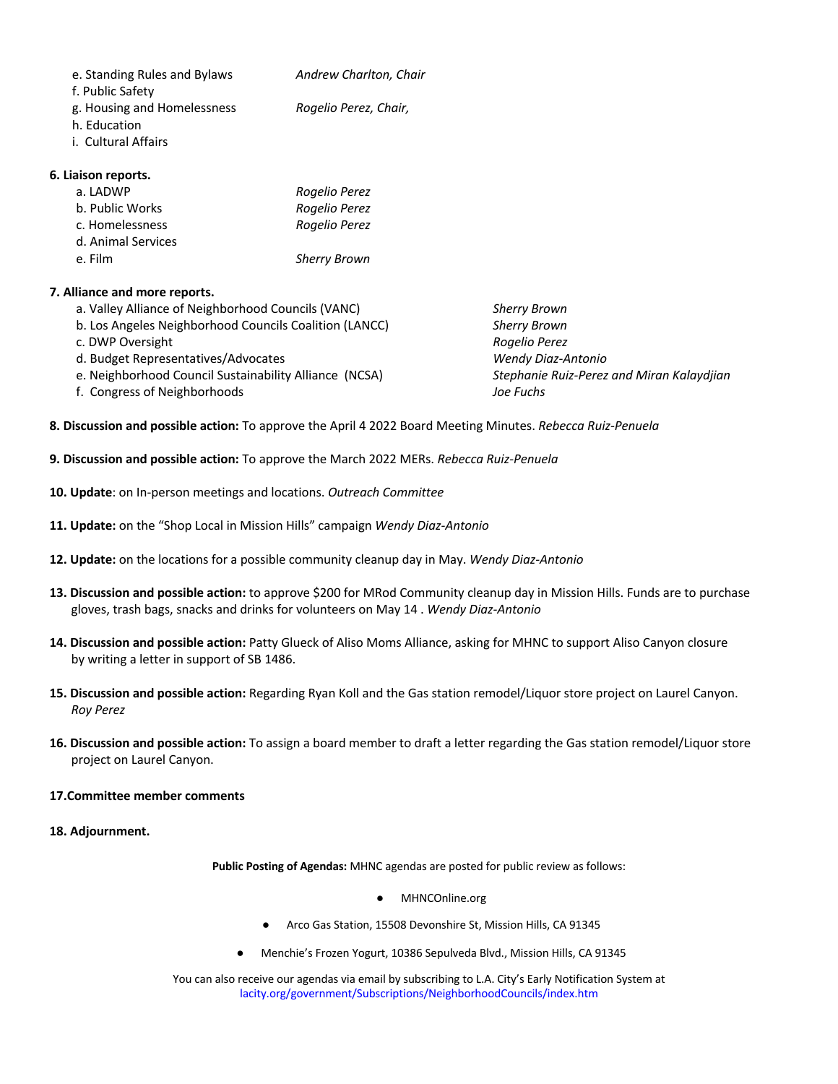| e. Standing Rules and Bylaws<br>f. Public Safety | Andrew Charlton, Chair |
|--------------------------------------------------|------------------------|
| g. Housing and Homelessness<br>h. Education      | Rogelio Perez, Chair,  |
| i. Cultural Affairs                              |                        |

#### **6. Liaison reports.**

| a. LADWP           | Rogelio Perez       |
|--------------------|---------------------|
| b. Public Works    | Rogelio Perez       |
| c. Homelessness    | Rogelio Perez       |
| d. Animal Services |                     |
| e. Film            | <b>Sherry Brown</b> |

## **7. Alliance and more reports.**

- a. Valley Alliance of Neighborhood Councils (VANC) *Sherry Brown*
- b. Los Angeles Neighborhood Councils Coalition (LANCC) *Sherry Brown*
- c. DWP Oversight *Rogelio Perez*
- d. Budget Representatives/Advocates *Wendy Diaz-Antonio*
- e. Neighborhood Council Sustainability Alliance (NCSA) *Stephanie Ruiz-Perez and Miran Kalaydjian*
- f. Congress of Neighborhoods *Joe Fuchs*

- **8. Discussion and possible action:** To approve the April 4 2022 Board Meeting Minutes. *Rebecca Ruiz-Penuela*
- **9. Discussion and possible action:** To approve the March 2022 MERs. *Rebecca Ruiz-Penuela*
- **10. Update**: on In-person meetings and locations. *Outreach Committee*
- **11. Update:** on the "Shop Local in Mission Hills" campaign *Wendy Diaz-Antonio*
- **12. Update:** on the locations for a possible community cleanup day in May. *Wendy Diaz-Antonio*
- **13. Discussion and possible action:** to approve \$200 for MRod Community cleanup day in Mission Hills. Funds are to purchase gloves, trash bags, snacks and drinks for volunteers on May 14 . *Wendy Diaz-Antonio*
- **14. Discussion and possible action:** Patty Glueck of Aliso Moms Alliance, asking for MHNC to support Aliso Canyon closure by writing a letter in support of SB 1486.
- **15. Discussion and possible action:** Regarding Ryan Koll and the Gas station remodel/Liquor store project on Laurel Canyon. *Roy Perez*
- **16. Discussion and possible action:** To assign a board member to draft a letter regarding the Gas station remodel/Liquor store project on Laurel Canyon.

#### **17.Committee member comments**

**18. Adjournment.**

**Public Posting of Agendas:** MHNC agendas are posted for public review as follows:

- MHNCOnline.org
- Arco Gas Station, 15508 Devonshire St, Mission Hills, CA 91345
- Menchie's Frozen Yogurt, 10386 Sepulveda Blvd., Mission Hills, CA 91345

You can also receive our agendas via email by subscribing to L.A. City's Early Notification System at lacity.org/government/Subscriptions/NeighborhoodCouncils/index.htm